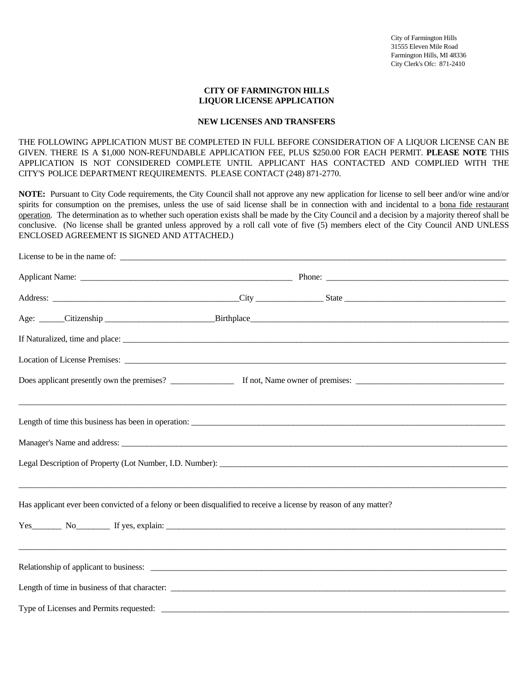## **CITY OF FARMINGTON HILLS LIQUOR LICENSE APPLICATION**

## **NEW LICENSES AND TRANSFERS**

THE FOLLOWING APPLICATION MUST BE COMPLETED IN FULL BEFORE CONSIDERATION OF A LIQUOR LICENSE CAN BE GIVEN. THERE IS A \$1,000 NON-REFUNDABLE APPLICATION FEE, PLUS \$250.00 FOR EACH PERMIT. **PLEASE NOTE** THIS APPLICATION IS NOT CONSIDERED COMPLETE UNTIL APPLICANT HAS CONTACTED AND COMPLIED WITH THE CITY'S POLICE DEPARTMENT REQUIREMENTS. PLEASE CONTACT (248) 871-2770.

**NOTE:** Pursuant to City Code requirements, the City Council shall not approve any new application for license to sell beer and/or wine and/or spirits for consumption on the premises, unless the use of said license shall be in connection with and incidental to a bona fide restaurant operation. The determination as to whether such operation exists shall be made by the City Council and a decision by a majority thereof shall be conclusive. (No license shall be granted unless approved by a roll call vote of five (5) members elect of the City Council AND UNLESS ENCLOSED AGREEMENT IS SIGNED AND ATTACHED.)

| Location of License Premises: Lawrence Contact Contact Contact Contact Contact Contact Contact Contact Contact Contact Contact Contact Contact Contact Contact Contact Contact Contact Contact Contact Contact Contact Contact |  |  |
|--------------------------------------------------------------------------------------------------------------------------------------------------------------------------------------------------------------------------------|--|--|
|                                                                                                                                                                                                                                |  |  |
|                                                                                                                                                                                                                                |  |  |
|                                                                                                                                                                                                                                |  |  |
|                                                                                                                                                                                                                                |  |  |
| Has applicant ever been convicted of a felony or been disqualified to receive a license by reason of any matter?                                                                                                               |  |  |
| Yes No No Strategies and Strategies Contains and Strategies and Strategies and Strategies and Strategies and Strategies and Strategies and Strategies and Strategies and Strategies and Strategies and Strategies and Strategi |  |  |
|                                                                                                                                                                                                                                |  |  |
|                                                                                                                                                                                                                                |  |  |
|                                                                                                                                                                                                                                |  |  |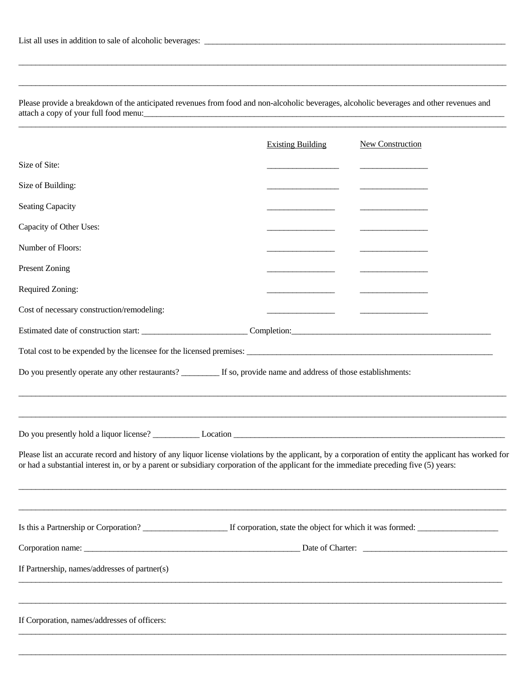Please provide a breakdown of the anticipated revenues from food and non-alcoholic beverages, alcoholic beverages and other revenues and attach a copy of your full food menu:\_\_\_\_\_\_\_\_\_\_\_\_\_\_\_\_\_\_\_\_\_\_\_\_\_\_\_\_\_\_\_\_\_\_\_\_\_\_\_\_\_\_\_\_\_\_\_\_\_\_\_\_\_\_\_\_\_\_\_\_\_\_\_\_\_\_\_\_\_\_\_\_\_\_\_\_\_\_\_\_\_\_\_\_\_

\_\_\_\_\_\_\_\_\_\_\_\_\_\_\_\_\_\_\_\_\_\_\_\_\_\_\_\_\_\_\_\_\_\_\_\_\_\_\_\_\_\_\_\_\_\_\_\_\_\_\_\_\_\_\_\_\_\_\_\_\_\_\_\_\_\_\_\_\_\_\_\_\_\_\_\_\_\_\_\_\_\_\_\_\_\_\_\_\_\_\_\_\_\_\_\_\_\_\_\_\_\_\_\_\_\_\_\_\_\_\_\_\_\_\_

\_\_\_\_\_\_\_\_\_\_\_\_\_\_\_\_\_\_\_\_\_\_\_\_\_\_\_\_\_\_\_\_\_\_\_\_\_\_\_\_\_\_\_\_\_\_\_\_\_\_\_\_\_\_\_\_\_\_\_\_\_\_\_\_\_\_\_\_\_\_\_\_\_\_\_\_\_\_\_\_\_\_\_\_\_\_\_\_\_\_\_\_\_\_\_\_\_\_\_\_\_\_\_\_\_\_\_\_\_\_\_\_\_\_\_

\_\_\_\_\_\_\_\_\_\_\_\_\_\_\_\_\_\_\_\_\_\_\_\_\_\_\_\_\_\_\_\_\_\_\_\_\_\_\_\_\_\_\_\_\_\_\_\_\_\_\_\_\_\_\_\_\_\_\_\_\_\_\_\_\_\_\_\_\_\_\_\_\_\_\_\_\_\_\_\_\_\_\_\_\_\_\_\_\_\_\_\_\_\_\_\_\_\_\_\_\_\_\_\_\_\_\_\_\_\_\_\_\_\_\_

|                                                                                                                                                                                                                                                                                                  | <b>Existing Building</b> | <b>New Construction</b> |
|--------------------------------------------------------------------------------------------------------------------------------------------------------------------------------------------------------------------------------------------------------------------------------------------------|--------------------------|-------------------------|
| Size of Site:                                                                                                                                                                                                                                                                                    |                          |                         |
| Size of Building:                                                                                                                                                                                                                                                                                |                          |                         |
| <b>Seating Capacity</b>                                                                                                                                                                                                                                                                          |                          |                         |
| Capacity of Other Uses:                                                                                                                                                                                                                                                                          |                          |                         |
| Number of Floors:                                                                                                                                                                                                                                                                                |                          |                         |
| Present Zoning                                                                                                                                                                                                                                                                                   |                          |                         |
| Required Zoning:                                                                                                                                                                                                                                                                                 |                          |                         |
| Cost of necessary construction/remodeling:                                                                                                                                                                                                                                                       |                          |                         |
|                                                                                                                                                                                                                                                                                                  |                          |                         |
|                                                                                                                                                                                                                                                                                                  |                          |                         |
| Do you presently operate any other restaurants? ________ If so, provide name and address of those establishments:                                                                                                                                                                                |                          |                         |
|                                                                                                                                                                                                                                                                                                  |                          |                         |
| Please list an accurate record and history of any liquor license violations by the applicant, by a corporation of entity the applicant has worked for<br>or had a substantial interest in, or by a parent or subsidiary corporation of the applicant for the immediate preceding five (5) years: |                          |                         |
|                                                                                                                                                                                                                                                                                                  |                          |                         |
|                                                                                                                                                                                                                                                                                                  |                          |                         |
| If Partnership, names/addresses of partner(s)                                                                                                                                                                                                                                                    |                          |                         |
| If Corporation, names/addresses of officers:                                                                                                                                                                                                                                                     |                          |                         |
|                                                                                                                                                                                                                                                                                                  |                          |                         |